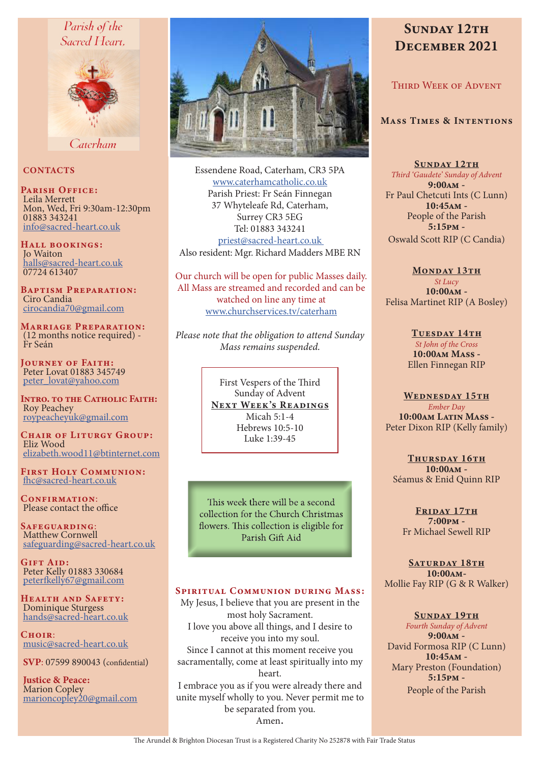# Parish of the Sacred Heart.



Caterham

# **CONTACTS**

PARISH OFFICE: Leila Merrett Mon, Wed, Fri 9:30am-12:30pm 01883 343241 info@sacred-heart.co.uk

Hall bookings: Jo Waiton halls@sacred-heart.co.uk 07724 613407

Baptism Preparation: Ciro Candia cirocandia70@gmail.com

Marriage Preparation: (12 months notice required) - Fr Seán

JOURNEY OF FAITH: Peter Lovat 01883 345749 peter\_lovat@yahoo.com

INTRO. TO THE CATHOLIC FAITH: Roy Peachey roypeacheyuk@gmail.com

CHAIR OF LITURGY GROUP: Eliz Wood elizabeth.wood11@btinternet.com

First Holy Communion: fhc@sacred-heart.co.uk

CONFIRMATION: Please contact the office

Safeguarding: Matthew Cornwell safeguarding@sacred-heart.co.uk

GIFT AID: Peter Kelly 01883 330684 peterfkelly67@gmail.com

Health and Safety: Dominique Sturgess hands@sacred-heart.co.uk

 $C$ HOIP: music@sacred-heart.co.uk

SVP: 07599 890043 (confidential)

Justice & Peace: Marion Copley marioncopley20@gmail.com



Essendene Road, Caterham, CR3 5PA www.caterhamcatholic.co.uk Parish Priest: Fr Seán Finnegan 37 Whyteleafe Rd, Caterham, Surrey CR3 5EG Tel: 01883 343241 priest@sacred-heart.co.uk Also resident: Mgr. Richard Madders MBE RN

Our church will be open for public Masses daily. All Mass are streamed and recorded and can be watched on line any time at www.churchservices.tv/caterham

*Please note that the obligation to attend Sunday Mass remains suspended.*

> First Vespers of the Third Sunday of Advent NEXT WEEK'S READINGS Micah 5:1-4 Hebrews 10:5-10 Luke 1:39-45

This week there will be a second collection for the Church Christmas flowers. This collection is eligible for Parish Gift Aid

# SPIRITUAL COMMUNION DURING MASS:

My Jesus, I believe that you are present in the most holy Sacrament. I love you above all things, and I desire to receive you into my soul. Since I cannot at this moment receive you sacramentally, come at least spiritually into my heart. I embrace you as if you were already there and unite myself wholly to you. Never permit me to be separated from you. Amen.

# SUNDAY 12TH DECEMBER 2021

THIRD WEEK OF ADVENT

#### Mass Times & Intentions

SUNDAY 12TH *Third 'Gaudete' Sunday of Advent* 9:00am - Fr Paul Chetcuti Ints (C Lunn) 10:45am - People of the Parish 5:15pm - Oswald Scott RIP (C Candia)

MONDAY 13TH *St Lucy* 10:00am - Felisa Martinet RIP (A Bosley)

> TUESDAY 14TH *St John of the Cross* 10:00am Mass - Ellen Finnegan RIP

WEDNESDAY 15TH *Ember Day* 10:00am Latin Mass -Peter Dixon RIP (Kelly family)

THURSDAY 16TH 10:00am - Séamus & Enid Quinn RIP

FRIDAY 17TH 7:00pm - Fr Michael Sewell RIP

SATURDAY 18TH 10:00am-Mollie Fay RIP (G & R Walker)

SUNDAY 19TH *Fourth Sunday of Advent* 9:00am - David Formosa RIP (C Lunn) 10:45am - Mary Preston (Foundation) 5:15pm - People of the Parish